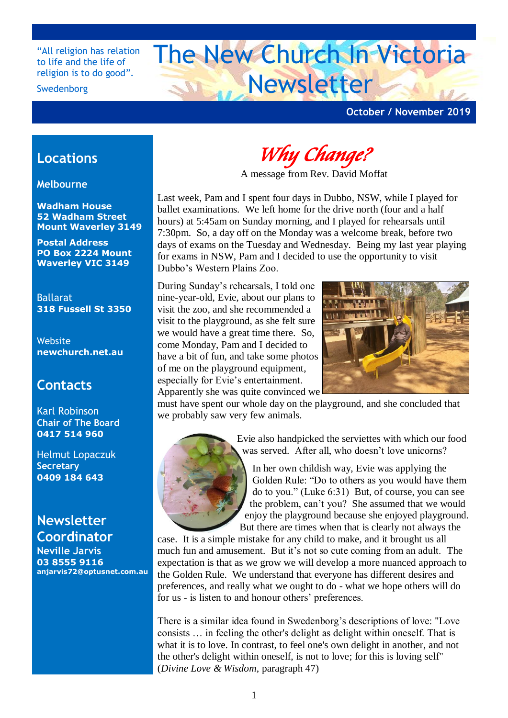"All religion has relation to life and the life of religion is to do good".

#### Swedenborg

# The New Church In Victoria Newsletter

## **October / November 2019**

# **Locations**

**Melbourne**

**Wadham House 52 Wadham Street Mount Waverley 3149**

**Postal Address PO Box 2224 Mount Waverley VIC 3149**

Ballarat **318 Fussell St 3350**

Website **newchurch.net.au**

## **Contacts**

Karl Robinson **Chair of The Board 0417 514 960**

Helmut Lopaczuk **Secretary 0409 184 643**

**Newsletter Coordinator Neville Jarvis 03 8555 9116 anjarvis72@optusnet.com.au**

*Why Change?* 

A message from Rev. David Moffat

Last week, Pam and I spent four days in Dubbo, NSW, while I played for ballet examinations. We left home for the drive north (four and a half hours) at 5:45am on Sunday morning, and I played for rehearsals until 7:30pm. So, a day off on the Monday was a welcome break, before two days of exams on the Tuesday and Wednesday. Being my last year playing for exams in NSW, Pam and I decided to use the opportunity to visit Dubbo's Western Plains Zoo.

During Sunday's rehearsals, I told one nine-year-old, Evie, about our plans to visit the zoo, and she recommended a visit to the playground, as she felt sure we would have a great time there. So, come Monday, Pam and I decided to have a bit of fun, and take some photos of me on the playground equipment, especially for Evie's entertainment. Apparently she was quite convinced we



must have spent our whole day on the playground, and she concluded that we probably saw very few animals.



 Evie also handpicked the serviettes with which our food was served. After all, who doesn't love unicorns?

 In her own childish way, Evie was applying the Golden Rule: "Do to others as you would have them do to you." (Luke 6:31) But, of course, you can see the problem, can't you? She assumed that we would enjoy the playground because she enjoyed playground. But there are times when that is clearly not always the

case. It is a simple mistake for any child to make, and it brought us all much fun and amusement. But it's not so cute coming from an adult. The expectation is that as we grow we will develop a more nuanced approach to the Golden Rule. We understand that everyone has different desires and preferences, and really what we ought to do - what we hope others will do for us - is listen to and honour others' preferences.

There is a similar idea found in Swedenborg's descriptions of love: "Love consists … in feeling the other's delight as delight within oneself. That is what it is to love. In contrast, to feel one's own delight in another, and not the other's delight within oneself, is not to love; for this is loving self" (*Divine Love & Wisdom*, paragraph 47)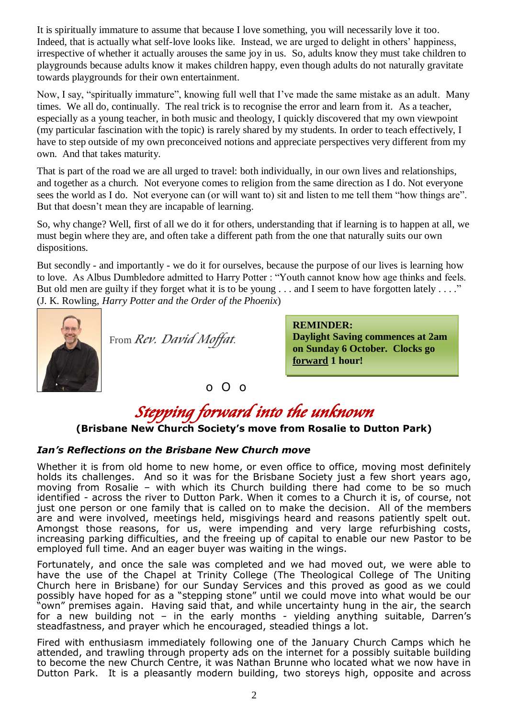It is spiritually immature to assume that because I love something, you will necessarily love it too. Indeed, that is actually what self-love looks like. Instead, we are urged to delight in others' happiness, irrespective of whether it actually arouses the same joy in us. So, adults know they must take children to playgrounds because adults know it makes children happy, even though adults do not naturally gravitate towards playgrounds for their own entertainment.

Now, I say, "spiritually immature", knowing full well that I've made the same mistake as an adult. Many times. We all do, continually. The real trick is to recognise the error and learn from it. As a teacher, especially as a young teacher, in both music and theology, I quickly discovered that my own viewpoint (my particular fascination with the topic) is rarely shared by my students. In order to teach effectively, I have to step outside of my own preconceived notions and appreciate perspectives very different from my own. And that takes maturity.

That is part of the road we are all urged to travel: both individually, in our own lives and relationships, and together as a church. Not everyone comes to religion from the same direction as I do. Not everyone sees the world as I do. Not everyone can (or will want to) sit and listen to me tell them "how things are". But that doesn't mean they are incapable of learning.

So, why change? Well, first of all we do it for others, understanding that if learning is to happen at all, we must begin where they are, and often take a different path from the one that naturally suits our own dispositions.

But secondly - and importantly - we do it for ourselves, because the purpose of our lives is learning how to love. As Albus Dumbledore admitted to Harry Potter : "Youth cannot know how age thinks and feels. But old men are guilty if they forget what it is to be young . . . and I seem to have forgotten lately . . . ." (J. K. Rowling, *Harry Potter and the Order of the Phoenix*)



From *Rev. David Moffat*.

**REMINDER: Daylight Saving commences at 2am on Sunday 6 October. Clocks go forward 1 hour!**

o O o

# *Stepping forward into the unknown*

## **(Brisbane New Church Society's move from Rosalie to Dutton Park)**

#### *Ian's Reflections on the Brisbane New Church move*

Whether it is from old home to new home, or even office to office, moving most definitely holds its challenges. And so it was for the Brisbane Society just a few short years ago, moving from Rosalie – with which its Church building there had come to be so much identified - across the river to Dutton Park. When it comes to a Church it is, of course, not just one person or one family that is called on to make the decision. All of the members are and were involved, meetings held, misgivings heard and reasons patiently spelt out. Amongst those reasons, for us, were impending and very large refurbishing costs, increasing parking difficulties, and the freeing up of capital to enable our new Pastor to be employed full time. And an eager buyer was waiting in the wings.

Fortunately, and once the sale was completed and we had moved out, we were able to have the use of the Chapel at Trinity College (The Theological College of The Uniting Church here in Brisbane) for our Sunday Services and this proved as good as we could possibly have hoped for as a "stepping stone" until we could move into what would be our "own" premises again. Having said that, and while uncertainty hung in the air, the search for a new building not - in the early months - yielding anything suitable, Darren's steadfastness, and prayer which he encouraged, steadied things a lot.

Fired with enthusiasm immediately following one of the January Church Camps which he attended, and trawling through property ads on the internet for a possibly suitable building to become the new Church Centre, it was Nathan Brunne who located what we now have in Dutton Park. It is a pleasantly modern building, two storeys high, opposite and across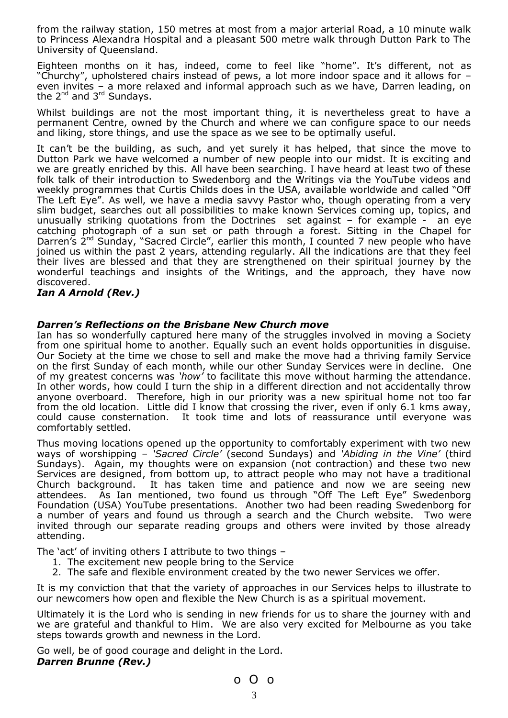from the railway station, 150 metres at most from a major arterial Road, a 10 minute walk to Princess Alexandra Hospital and a pleasant 500 metre walk through Dutton Park to The University of Queensland.

Eighteen months on it has, indeed, come to feel like "home". It's different, not as "Churchy", upholstered chairs instead of pews, a lot more indoor space and it allows for – even invites – a more relaxed and informal approach such as we have, Darren leading, on the  $2^{nd}$  and  $3^{rd}$  Sundays.

Whilst buildings are not the most important thing, it is nevertheless great to have a permanent Centre, owned by the Church and where we can configure space to our needs and liking, store things, and use the space as we see to be optimally useful.

It can't be the building, as such, and yet surely it has helped, that since the move to Dutton Park we have welcomed a number of new people into our midst. It is exciting and we are greatly enriched by this. All have been searching. I have heard at least two of these folk talk of their introduction to Swedenborg and the Writings via the YouTube videos and weekly programmes that Curtis Childs does in the USA, available worldwide and called "Off The Left Eye". As well, we have a media savvy Pastor who, though operating from a very slim budget, searches out all possibilities to make known Services coming up, topics, and unusually striking quotations from the Doctrines set against – for example - an eye catching photograph of a sun set or path through a forest. Sitting in the Chapel for Darren's 2<sup>nd</sup> Sunday, "Sacred Circle", earlier this month, I counted 7 new people who have joined us within the past 2 years, attending regularly. All the indications are that they feel their lives are blessed and that they are strengthened on their spiritual journey by the wonderful teachings and insights of the Writings, and the approach, they have now discovered.

#### *Ian A Arnold (Rev.)*

#### *Darren's Reflections on the Brisbane New Church move*

Ian has so wonderfully captured here many of the struggles involved in moving a Society from one spiritual home to another. Equally such an event holds opportunities in disguise. Our Society at the time we chose to sell and make the move had a thriving family Service on the first Sunday of each month, while our other Sunday Services were in decline. One of my greatest concerns was *'how'* to facilitate this move without harming the attendance. In other words, how could I turn the ship in a different direction and not accidentally throw anyone overboard. Therefore, high in our priority was a new spiritual home not too far from the old location. Little did I know that crossing the river, even if only 6.1 kms away, could cause consternation. It took time and lots of reassurance until everyone was comfortably settled.

Thus moving locations opened up the opportunity to comfortably experiment with two new ways of worshipping – *'Sacred Circle'* (second Sundays) and *'Abiding in the Vine'* (third Sundays). Again, my thoughts were on expansion (not contraction) and these two new Services are designed, from bottom up, to attract people who may not have a traditional Church background. It has taken time and patience and now we are seeing new attendees. As Ian mentioned, two found us through "Off The Left Eye" Swedenborg Foundation (USA) YouTube presentations. Another two had been reading Swedenborg for a number of years and found us through a search and the Church website. Two were invited through our separate reading groups and others were invited by those already attending.

The 'act' of inviting others I attribute to two things –

- 1. The excitement new people bring to the Service
- 2. The safe and flexible environment created by the two newer Services we offer.

It is my conviction that that the variety of approaches in our Services helps to illustrate to our newcomers how open and flexible the New Church is as a spiritual movement.

Ultimately it is the Lord who is sending in new friends for us to share the journey with and we are grateful and thankful to Him. We are also very excited for Melbourne as you take steps towards growth and newness in the Lord.

Go well, be of good courage and delight in the Lord. *Darren Brunne (Rev.)*

$$
\circ \circ \circ
$$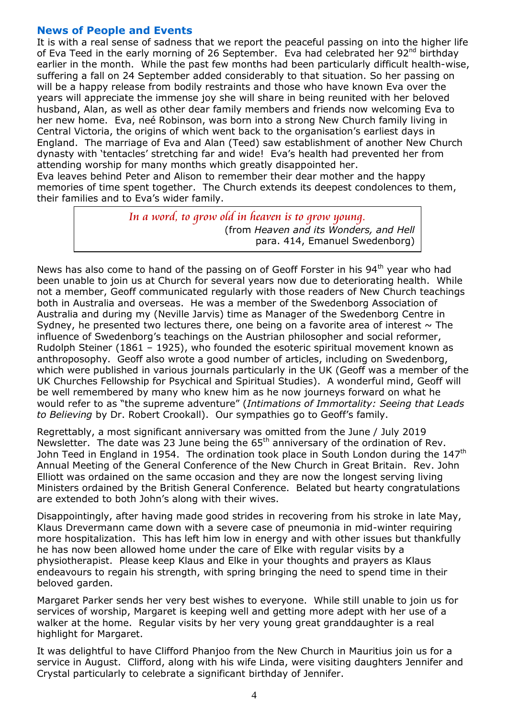## **News of People and Events**

It is with a real sense of sadness that we report the peaceful passing on into the higher life of Eva Teed in the early morning of 26 September. Eva had celebrated her 92<sup>nd</sup> birthday earlier in the month. While the past few months had been particularly difficult health-wise, suffering a fall on 24 September added considerably to that situation. So her passing on will be a happy release from bodily restraints and those who have known Eva over the years will appreciate the immense joy she will share in being reunited with her beloved husband, Alan, as well as other dear family members and friends now welcoming Eva to her new home. Eva, neé Robinson, was born into a strong New Church family living in Central Victoria, the origins of which went back to the organisation's earliest days in England. The marriage of Eva and Alan (Teed) saw establishment of another New Church dynasty with 'tentacles' stretching far and wide! Eva's health had prevented her from attending worship for many months which greatly disappointed her.

Eva leaves behind Peter and Alison to remember their dear mother and the happy memories of time spent together. The Church extends its deepest condolences to them, their families and to Eva's wider family.

> *In a word, to grow old in heaven is to grow young.* (from *Heaven and its Wonders, and Hell* para. 414, Emanuel Swedenborg)

News has also come to hand of the passing on of Geoff Forster in his  $94<sup>th</sup>$  year who had been unable to join us at Church for several years now due to deteriorating health. While not a member, Geoff communicated regularly with those readers of New Church teachings both in Australia and overseas. He was a member of the Swedenborg Association of Australia and during my (Neville Jarvis) time as Manager of the Swedenborg Centre in Sydney, he presented two lectures there, one being on a favorite area of interest  $\sim$  The influence of Swedenborg's teachings on the Austrian philosopher and social reformer, Rudolph Steiner (1861 – 1925), who founded the esoteric spiritual movement known as anthroposophy. Geoff also wrote a good number of articles, including on Swedenborg, which were published in various journals particularly in the UK (Geoff was a member of the UK Churches Fellowship for Psychical and Spiritual Studies). A wonderful mind, Geoff will be well remembered by many who knew him as he now journeys forward on what he would refer to as "the supreme adventure" (*Intimations of Immortality: Seeing that Leads to Believing* by Dr. Robert Crookall). Our sympathies go to Geoff's family.

Regrettably, a most significant anniversary was omitted from the June / July 2019 Newsletter. The date was 23 June being the  $65<sup>th</sup>$  anniversary of the ordination of Rev. John Teed in England in 1954. The ordination took place in South London during the  $147<sup>th</sup>$ Annual Meeting of the General Conference of the New Church in Great Britain. Rev. John Elliott was ordained on the same occasion and they are now the longest serving living Ministers ordained by the British General Conference. Belated but hearty congratulations are extended to both John's along with their wives.

Disappointingly, after having made good strides in recovering from his stroke in late May, Klaus Drevermann came down with a severe case of pneumonia in mid-winter requiring more hospitalization. This has left him low in energy and with other issues but thankfully he has now been allowed home under the care of Elke with regular visits by a physiotherapist. Please keep Klaus and Elke in your thoughts and prayers as Klaus endeavours to regain his strength, with spring bringing the need to spend time in their beloved garden.

Margaret Parker sends her very best wishes to everyone. While still unable to join us for services of worship, Margaret is keeping well and getting more adept with her use of a walker at the home. Regular visits by her very young great granddaughter is a real highlight for Margaret.

It was delightful to have Clifford Phanjoo from the New Church in Mauritius join us for a service in August. Clifford, along with his wife Linda, were visiting daughters Jennifer and Crystal particularly to celebrate a significant birthday of Jennifer.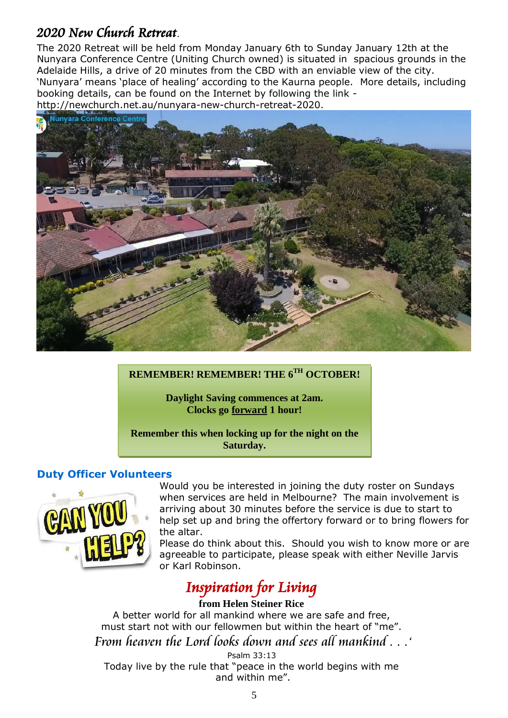# *2020 New Church Retreat*.

The 2020 Retreat will be held from Monday January 6th to Sunday January 12th at the Nunyara [Conference](https://unitingvenuessa.org.au/nunyara) Centre (Uniting Church owned) is situated in spacious grounds in the Adelaide Hills, a drive of 20 minutes from the CBD with an enviable view of the city. 'Nunyara' means 'place of healing' according to the Kaurna people. More details, including booking details, can be found on the Internet by following the link [http://newchurch.net.au/nunyara-new-church-retreat-2020.](http://newchurch.net.au/nunyara-new-church-retreat-2020)



### **REMEMBER! REMEMBER! THE 6 TH OCTOBER!**

**Daylight Saving commences at 2am. Clocks go forward 1 hour!**

**Remember this when locking up for the night on the Saturday.**

## **Duty Officer Volunteers**



Would you be interested in joining the duty roster on Sundays when services are held in Melbourne? The main involvement is arriving about 30 minutes before the service is due to start to help set up and bring the offertory forward or to bring flowers for the altar.

Please do think about this. Should you wish to know more or are agreeable to participate, please speak with either Neville Jarvis or Karl Robinson.

# *Inspiration for Living*

#### **from Helen Steiner Rice**

A better world for all mankind where we are safe and free, must start not with our fellowmen but within the heart of "me". '*From heaven the Lord looks down and sees all mankind . . .'*

Psalm 33:13

Today live by the rule that "peace in the world begins with me and within me".